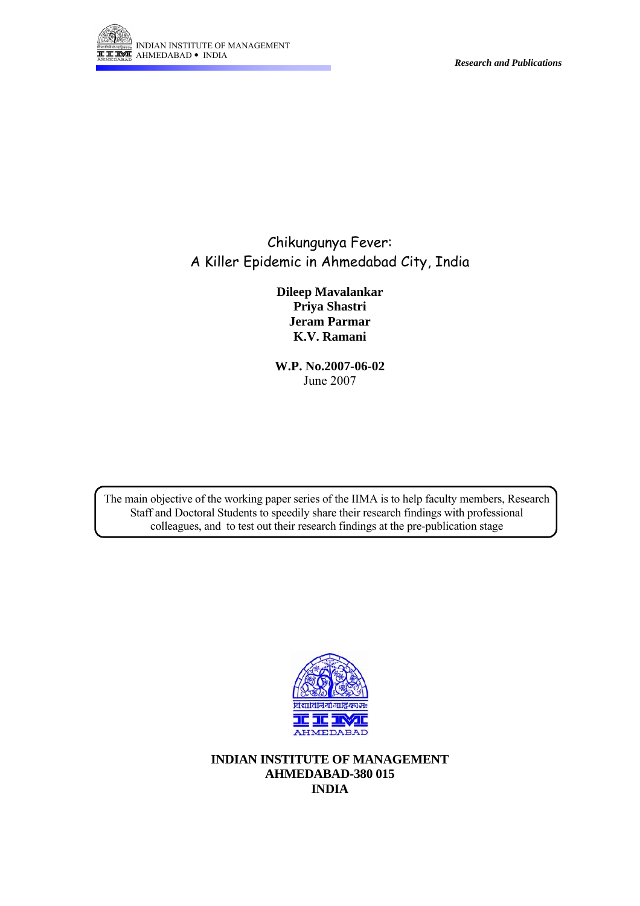

*Research and Publications* 

# Chikungunya Fever: A Killer Epidemic in Ahmedabad City, India

**Dileep Mavalankar Priya Shastri Jeram Parmar K.V. Ramani** 

**W.P. No.2007-06-02**  June 2007

The main objective of the working paper series of the IIMA is to help faculty members, Research Staff and Doctoral Students to speedily share their research findings with professional colleagues, and to test out their research findings at the pre-publication stage



**INDIAN INSTITUTE OF MANAGEMENT AHMEDABAD-380 015 INDIA**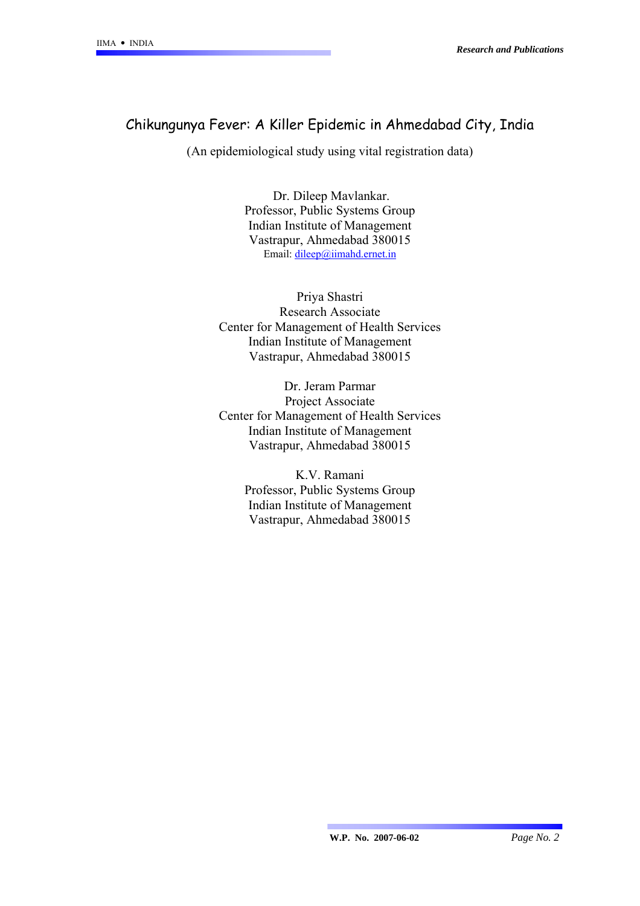## Chikungunya Fever: A Killer Epidemic in Ahmedabad City, India

(An epidemiological study using vital registration data)

 Dr. Dileep Mavlankar. Professor, Public Systems Group Indian Institute of Management Vastrapur, Ahmedabad 380015 Email: [dileep@iimahd.ernet.in](mailto:dileep@iimahd.ernet.in)

Priya Shastri Research Associate Center for Management of Health Services Indian Institute of Management Vastrapur, Ahmedabad 380015

Dr. Jeram Parmar Project Associate Center for Management of Health Services Indian Institute of Management Vastrapur, Ahmedabad 380015

> K.V. Ramani Professor, Public Systems Group Indian Institute of Management Vastrapur, Ahmedabad 380015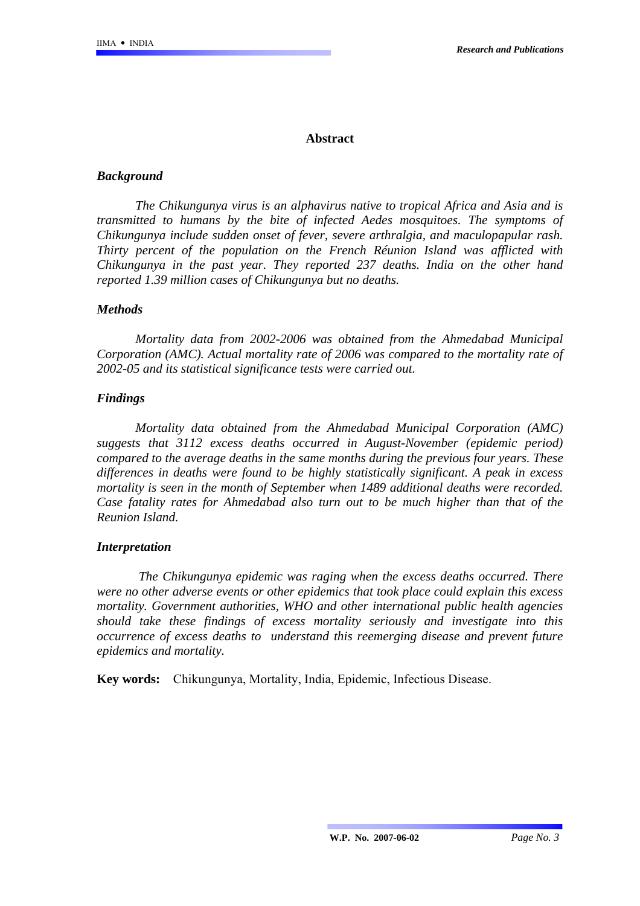### **Abstract**

### *Background*

*The Chikungunya virus is an alphavirus native to tropical Africa and Asia and is transmitted to humans by the bite of infected Aedes mosquitoes. The symptoms of Chikungunya include sudden onset of fever, severe arthralgia, and maculopapular rash. Thirty percent of the population on the French Réunion Island was afflicted with Chikungunya in the past year. They reported 237 deaths. India on the other hand reported 1.39 million cases of Chikungunya but no deaths.* 

### *Methods*

*Mortality data from 2002-2006 was obtained from the Ahmedabad Municipal Corporation (AMC). Actual mortality rate of 2006 was compared to the mortality rate of 2002-05 and its statistical significance tests were carried out.* 

### *Findings*

*Mortality data obtained from the Ahmedabad Municipal Corporation (AMC) suggests that 3112 excess deaths occurred in August-November (epidemic period) compared to the average deaths in the same months during the previous four years. These differences in deaths were found to be highly statistically significant. A peak in excess mortality is seen in the month of September when 1489 additional deaths were recorded. Case fatality rates for Ahmedabad also turn out to be much higher than that of the Reunion Island.* 

### *Interpretation*

*The Chikungunya epidemic was raging when the excess deaths occurred. There were no other adverse events or other epidemics that took place could explain this excess mortality. Government authorities, WHO and other international public health agencies should take these findings of excess mortality seriously and investigate into this occurrence of excess deaths to understand this reemerging disease and prevent future epidemics and mortality.*

**Key words:** Chikungunya, Mortality, India, Epidemic, Infectious Disease.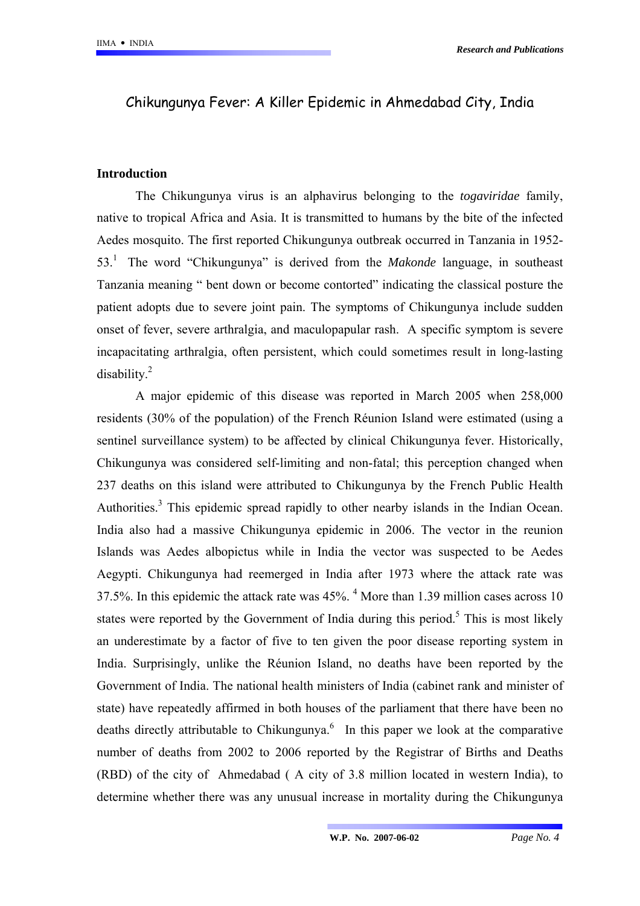# Chikungunya Fever: A Killer Epidemic in Ahmedabad City, India

### **Introduction**

The Chikungunya virus is an alphavirus belonging to the *togaviridae* family, native to tropical Africa and Asia. It is transmitted to humans by the bite of the infected Aedes mosquito. The first reported Chikungunya outbreak occurred in Tanzania in 1952- 53.1 The word "Chikungunya" is derived from the *Makonde* language, in southeast Tanzania meaning " bent down or become contorted" indicating the classical posture the patient adopts due to severe joint pain. The symptoms of Chikungunya include sudden onset of fever, severe arthralgia, and maculopapular rash. A specific symptom is severe incapacitating arthralgia, often persistent, which could sometimes result in long-lasting disability.2

A major epidemic of this disease was reported in March 2005 when 258,000 residents (30% of the population) of the French Réunion Island were estimated (using a sentinel surveillance system) to be affected by clinical Chikungunya fever. Historically, Chikungunya was considered self-limiting and non-fatal; this perception changed when 237 deaths on this island were attributed to Chikungunya by the French Public Health Authorities.<sup>3</sup> This epidemic spread rapidly to other nearby islands in the Indian Ocean. India also had a massive Chikungunya epidemic in 2006. The vector in the reunion Islands was Aedes albopictus while in India the vector was suspected to be Aedes Aegypti. Chikungunya had reemerged in India after 1973 where the attack rate was 37.5%. In this epidemic the attack rate was 45%. <sup>4</sup> More than 1.39 million cases across 10 states were reported by the Government of India during this period.<sup>5</sup> This is most likely an underestimate by a factor of five to ten given the poor disease reporting system in India. Surprisingly, unlike the Réunion Island, no deaths have been reported by the Government of India. The national health ministers of India (cabinet rank and minister of state) have repeatedly affirmed in both houses of the parliament that there have been no deaths directly attributable to Chikungunya.<sup>6</sup> In this paper we look at the comparative number of deaths from 2002 to 2006 reported by the Registrar of Births and Deaths (RBD) of the city of Ahmedabad ( A city of 3.8 million located in western India), to determine whether there was any unusual increase in mortality during the Chikungunya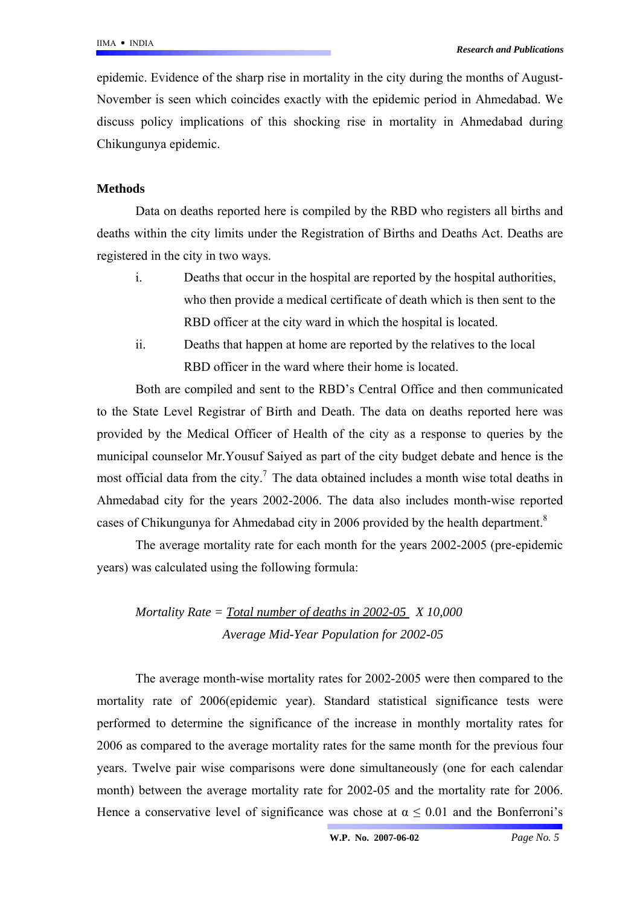epidemic. Evidence of the sharp rise in mortality in the city during the months of August-November is seen which coincides exactly with the epidemic period in Ahmedabad. We discuss policy implications of this shocking rise in mortality in Ahmedabad during Chikungunya epidemic.

## **Methods**

Data on deaths reported here is compiled by the RBD who registers all births and deaths within the city limits under the Registration of Births and Deaths Act. Deaths are registered in the city in two ways.

- i. Deaths that occur in the hospital are reported by the hospital authorities, who then provide a medical certificate of death which is then sent to the RBD officer at the city ward in which the hospital is located.
- ii. Deaths that happen at home are reported by the relatives to the local RBD officer in the ward where their home is located.

Both are compiled and sent to the RBD's Central Office and then communicated to the State Level Registrar of Birth and Death. The data on deaths reported here was provided by the Medical Officer of Health of the city as a response to queries by the municipal counselor Mr.Yousuf Saiyed as part of the city budget debate and hence is the most official data from the city.<sup>7</sup> The data obtained includes a month wise total deaths in Ahmedabad city for the years 2002-2006. The data also includes month-wise reported cases of Chikungunya for Ahmedabad city in 2006 provided by the health department.<sup>8</sup>

The average mortality rate for each month for the years 2002-2005 (pre-epidemic years) was calculated using the following formula:

# *Mortality Rate = Total number of deaths in 2002-05 X 10,000 Average Mid-Year Population for 2002-05*

The average month-wise mortality rates for 2002-2005 were then compared to the mortality rate of 2006(epidemic year). Standard statistical significance tests were performed to determine the significance of the increase in monthly mortality rates for 2006 as compared to the average mortality rates for the same month for the previous four years. Twelve pair wise comparisons were done simultaneously (one for each calendar month) between the average mortality rate for 2002-05 and the mortality rate for 2006. Hence a conservative level of significance was chose at  $\alpha \leq 0.01$  and the Bonferroni's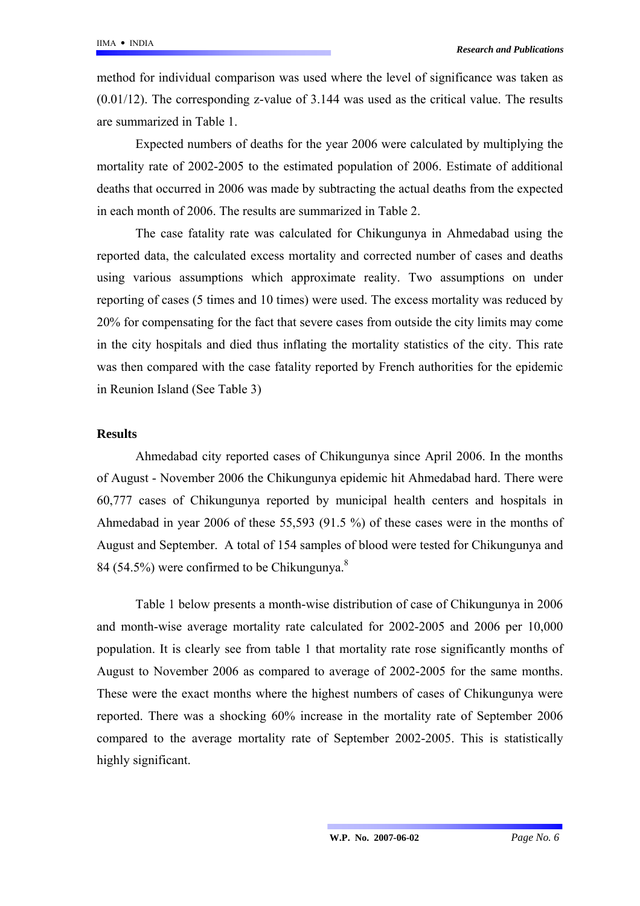method for individual comparison was used where the level of significance was taken as  $(0.01/12)$ . The corresponding z-value of 3.144 was used as the critical value. The results are summarized in Table 1.

Expected numbers of deaths for the year 2006 were calculated by multiplying the mortality rate of 2002-2005 to the estimated population of 2006. Estimate of additional deaths that occurred in 2006 was made by subtracting the actual deaths from the expected in each month of 2006. The results are summarized in Table 2.

The case fatality rate was calculated for Chikungunya in Ahmedabad using the reported data, the calculated excess mortality and corrected number of cases and deaths using various assumptions which approximate reality. Two assumptions on under reporting of cases (5 times and 10 times) were used. The excess mortality was reduced by 20% for compensating for the fact that severe cases from outside the city limits may come in the city hospitals and died thus inflating the mortality statistics of the city. This rate was then compared with the case fatality reported by French authorities for the epidemic in Reunion Island (See Table 3)

#### **Results**

Ahmedabad city reported cases of Chikungunya since April 2006. In the months of August - November 2006 the Chikungunya epidemic hit Ahmedabad hard. There were 60,777 cases of Chikungunya reported by municipal health centers and hospitals in Ahmedabad in year 2006 of these 55,593 (91.5 %) of these cases were in the months of August and September. A total of 154 samples of blood were tested for Chikungunya and 84 (54.5%) were confirmed to be Chikungunya.<sup>8</sup>

Table 1 below presents a month-wise distribution of case of Chikungunya in 2006 and month-wise average mortality rate calculated for 2002-2005 and 2006 per 10,000 population. It is clearly see from table 1 that mortality rate rose significantly months of August to November 2006 as compared to average of 2002-2005 for the same months. These were the exact months where the highest numbers of cases of Chikungunya were reported. There was a shocking 60% increase in the mortality rate of September 2006 compared to the average mortality rate of September 2002-2005. This is statistically highly significant.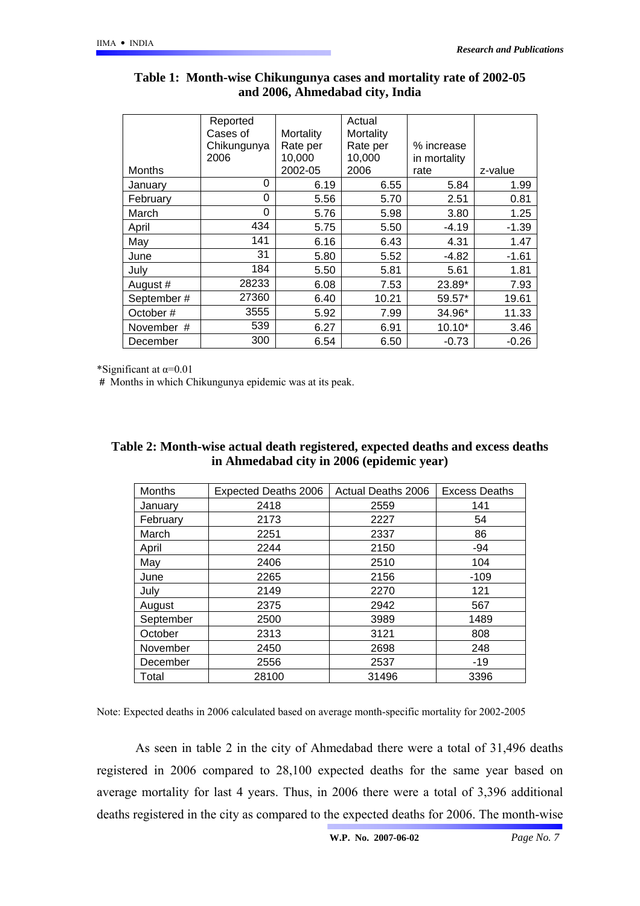|               | Reported<br>Cases of | Mortality | Actual<br>Mortality |              |         |
|---------------|----------------------|-----------|---------------------|--------------|---------|
|               | Chikungunya          | Rate per  | Rate per            | % increase   |         |
|               | 2006                 | 10,000    | 10,000              | in mortality |         |
| <b>Months</b> |                      | 2002-05   | 2006                | rate         | z-value |
| January       | 0                    | 6.19      | 6.55                | 5.84         | 1.99    |
| February      | 0                    | 5.56      | 5.70                | 2.51         | 0.81    |
| March         | 0                    | 5.76      | 5.98                | 3.80         | 1.25    |
| April         | 434                  | 5.75      | 5.50                | $-4.19$      | $-1.39$ |
| May           | 141                  | 6.16      | 6.43                | 4.31         | 1.47    |
| June          | 31                   | 5.80      | 5.52                | -4.82        | $-1.61$ |
| July          | 184                  | 5.50      | 5.81                | 5.61         | 1.81    |
| August #      | 28233                | 6.08      | 7.53                | 23.89*       | 7.93    |
| September#    | 27360                | 6.40      | 10.21               | 59.57*       | 19.61   |
| October#      | 3555                 | 5.92      | 7.99                | 34.96*       | 11.33   |
| November #    | 539                  | 6.27      | 6.91                | $10.10*$     | 3.46    |
| December      | 300                  | 6.54      | 6.50                | $-0.73$      | $-0.26$ |

## **Table 1: Month-wise Chikungunya cases and mortality rate of 2002-05 and 2006, Ahmedabad city, India**

\*Significant at  $\alpha$ =0.01

 **#** Months in which Chikungunya epidemic was at its peak.

| <b>Months</b> | <b>Expected Deaths 2006</b> | Actual Deaths 2006 | <b>Excess Deaths</b> |
|---------------|-----------------------------|--------------------|----------------------|
| January       | 2418                        | 2559               | 141                  |
| February      | 2173                        | 2227               | 54                   |
| March         | 2251                        | 2337               | 86                   |
| April         | 2244                        | 2150               | $-94$                |
| May           | 2406                        | 2510               | 104                  |
| June          | 2265                        | 2156               | $-109$               |
| July          | 2149                        | 2270               | 121                  |
| August        | 2375                        | 2942               | 567                  |
| September     | 2500                        | 3989               | 1489                 |
| October       | 2313                        | 3121               | 808                  |
| November      | 2450                        | 2698               | 248                  |
| December      | 2556                        | 2537               | $-19$                |
| Total         | 28100                       | 31496              | 3396                 |

### **Table 2: Month-wise actual death registered, expected deaths and excess deaths in Ahmedabad city in 2006 (epidemic year)**

Note: Expected deaths in 2006 calculated based on average month-specific mortality for 2002-2005

As seen in table 2 in the city of Ahmedabad there were a total of 31,496 deaths registered in 2006 compared to 28,100 expected deaths for the same year based on average mortality for last 4 years. Thus, in 2006 there were a total of 3,396 additional deaths registered in the city as compared to the expected deaths for 2006. The month-wise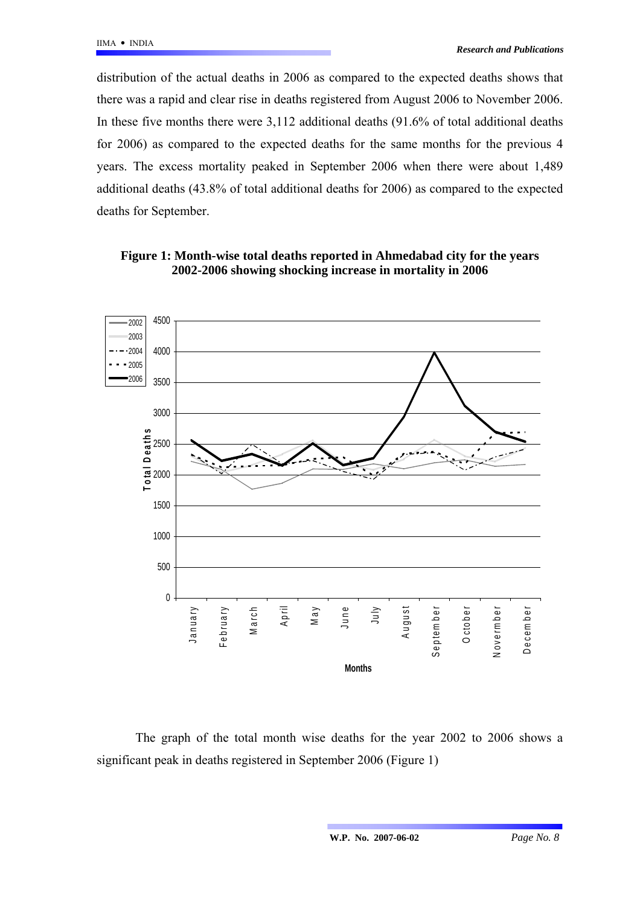distribution of the actual deaths in 2006 as compared to the expected deaths shows that there was a rapid and clear rise in deaths registered from August 2006 to November 2006. In these five months there were 3,112 additional deaths (91.6% of total additional deaths for 2006) as compared to the expected deaths for the same months for the previous 4 years. The excess mortality peaked in September 2006 when there were about 1,489 additional deaths (43.8% of total additional deaths for 2006) as compared to the expected deaths for September.



**Figure 1: Month-wise total deaths reported in Ahmedabad city for the years 2002-2006 showing shocking increase in mortality in 2006** 

The graph of the total month wise deaths for the year 2002 to 2006 shows a significant peak in deaths registered in September 2006 (Figure 1)

**W.P. No. 2007-06-02** *Page No. 8*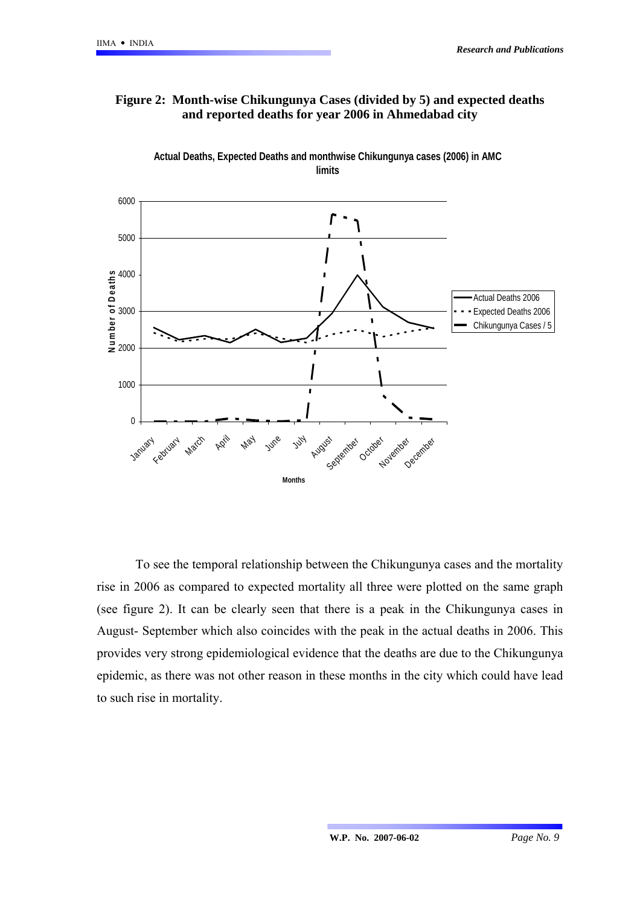## **Figure 2: Month-wise Chikungunya Cases (divided by 5) and expected deaths and reported deaths for year 2006 in Ahmedabad city**



**Actual Deaths, Expected Deaths and monthwise Chikungunya cases (2006) in AMC limits**

To see the temporal relationship between the Chikungunya cases and the mortality rise in 2006 as compared to expected mortality all three were plotted on the same graph (see figure 2). It can be clearly seen that there is a peak in the Chikungunya cases in August- September which also coincides with the peak in the actual deaths in 2006. This provides very strong epidemiological evidence that the deaths are due to the Chikungunya epidemic, as there was not other reason in these months in the city which could have lead to such rise in mortality.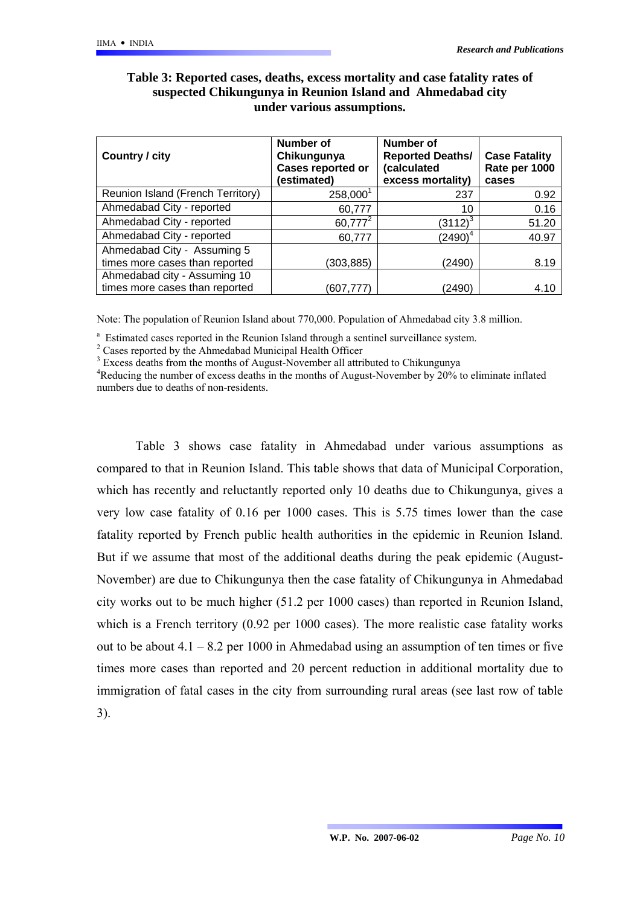| Country / city                    | <b>Number of</b><br>Chikungunya<br>Cases reported or<br>(estimated) | Number of<br><b>Reported Deaths/</b><br>(calculated<br>excess mortality) | <b>Case Fatality</b><br>Rate per 1000<br>cases |
|-----------------------------------|---------------------------------------------------------------------|--------------------------------------------------------------------------|------------------------------------------------|
| Reunion Island (French Territory) | $258,000^1$                                                         | 237                                                                      | 0.92                                           |
| Ahmedabad City - reported         | 60,777                                                              | 10                                                                       | 0.16                                           |
| Ahmedabad City - reported         | 60,777 <sup>2</sup>                                                 | $(3112)^3$                                                               | 51.20                                          |
| Ahmedabad City - reported         | 60,777                                                              | $(2490)^4$                                                               | 40.97                                          |
| Ahmedabad City - Assuming 5       |                                                                     |                                                                          |                                                |
| times more cases than reported    | (303,885)                                                           | (2490)                                                                   | 8.19                                           |
| Ahmedabad city - Assuming 10      |                                                                     |                                                                          |                                                |
| times more cases than reported    | (607,777)                                                           | (2490)                                                                   | 4.10                                           |

### **Table 3: Reported cases, deaths, excess mortality and case fatality rates of suspected Chikungunya in Reunion Island and Ahmedabad city under various assumptions.**

Note: The population of Reunion Island about 770,000. Population of Ahmedabad city 3.8 million.

Estimated cases reported in the Reunion Island through a sentinel surveillance system.

 $2$  Cases reported by the Ahmedabad Municipal Health Officer

<sup>3</sup> Excess deaths from the months of August-November all attributed to Chikungunya

<sup>4</sup>Reducing the number of excess deaths in the months of August-November by 20% to eliminate inflated numbers due to deaths of non-residents.

Table 3 shows case fatality in Ahmedabad under various assumptions as compared to that in Reunion Island. This table shows that data of Municipal Corporation, which has recently and reluctantly reported only 10 deaths due to Chikungunya, gives a very low case fatality of 0.16 per 1000 cases. This is 5.75 times lower than the case fatality reported by French public health authorities in the epidemic in Reunion Island. But if we assume that most of the additional deaths during the peak epidemic (August-November) are due to Chikungunya then the case fatality of Chikungunya in Ahmedabad city works out to be much higher (51.2 per 1000 cases) than reported in Reunion Island, which is a French territory (0.92 per 1000 cases). The more realistic case fatality works out to be about  $4.1 - 8.2$  per 1000 in Ahmedabad using an assumption of ten times or five times more cases than reported and 20 percent reduction in additional mortality due to immigration of fatal cases in the city from surrounding rural areas (see last row of table 3).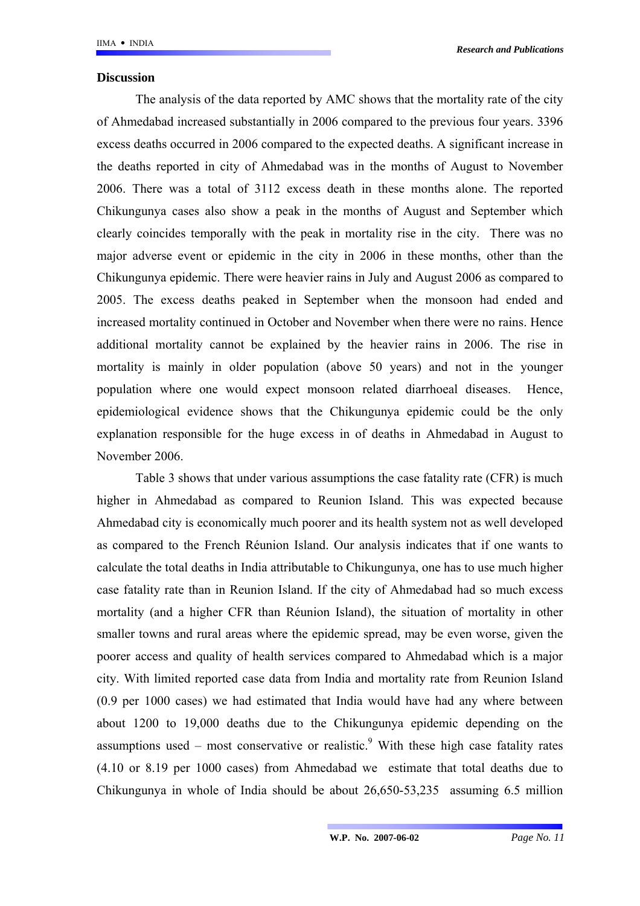#### **Discussion**

The analysis of the data reported by AMC shows that the mortality rate of the city of Ahmedabad increased substantially in 2006 compared to the previous four years. 3396 excess deaths occurred in 2006 compared to the expected deaths. A significant increase in the deaths reported in city of Ahmedabad was in the months of August to November 2006. There was a total of 3112 excess death in these months alone. The reported Chikungunya cases also show a peak in the months of August and September which clearly coincides temporally with the peak in mortality rise in the city. There was no major adverse event or epidemic in the city in 2006 in these months, other than the Chikungunya epidemic. There were heavier rains in July and August 2006 as compared to 2005. The excess deaths peaked in September when the monsoon had ended and increased mortality continued in October and November when there were no rains. Hence additional mortality cannot be explained by the heavier rains in 2006. The rise in mortality is mainly in older population (above 50 years) and not in the younger population where one would expect monsoon related diarrhoeal diseases. Hence, epidemiological evidence shows that the Chikungunya epidemic could be the only explanation responsible for the huge excess in of deaths in Ahmedabad in August to November 2006.

Table 3 shows that under various assumptions the case fatality rate (CFR) is much higher in Ahmedabad as compared to Reunion Island. This was expected because Ahmedabad city is economically much poorer and its health system not as well developed as compared to the French Réunion Island. Our analysis indicates that if one wants to calculate the total deaths in India attributable to Chikungunya, one has to use much higher case fatality rate than in Reunion Island. If the city of Ahmedabad had so much excess mortality (and a higher CFR than Réunion Island), the situation of mortality in other smaller towns and rural areas where the epidemic spread, may be even worse, given the poorer access and quality of health services compared to Ahmedabad which is a major city. With limited reported case data from India and mortality rate from Reunion Island (0.9 per 1000 cases) we had estimated that India would have had any where between about 1200 to 19,000 deaths due to the Chikungunya epidemic depending on the assumptions used – most conservative or realistic. With these high case fatality rates (4.10 or 8.19 per 1000 cases) from Ahmedabad we estimate that total deaths due to Chikungunya in whole of India should be about 26,650-53,235 assuming 6.5 million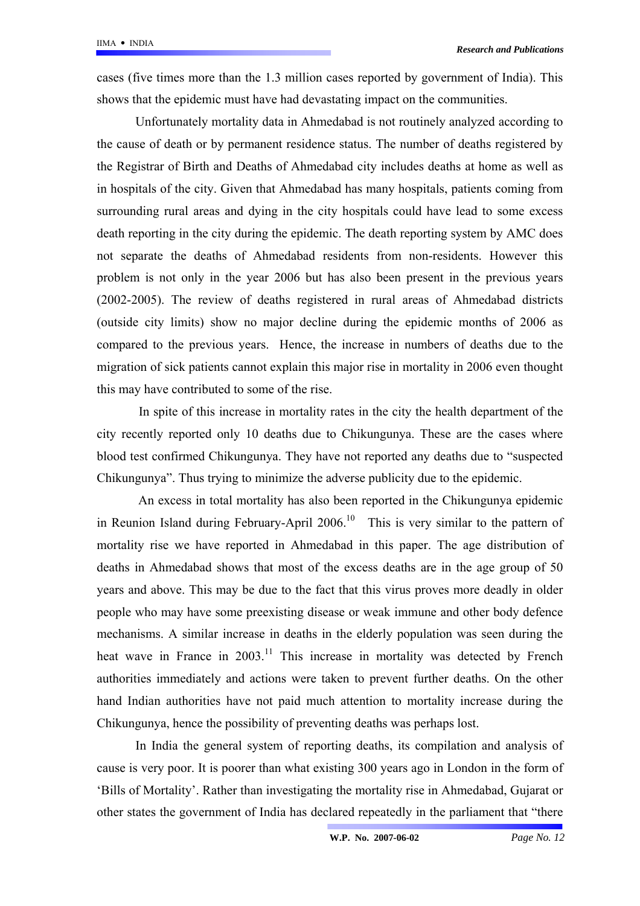cases (five times more than the 1.3 million cases reported by government of India). This shows that the epidemic must have had devastating impact on the communities.

Unfortunately mortality data in Ahmedabad is not routinely analyzed according to the cause of death or by permanent residence status. The number of deaths registered by the Registrar of Birth and Deaths of Ahmedabad city includes deaths at home as well as in hospitals of the city. Given that Ahmedabad has many hospitals, patients coming from surrounding rural areas and dying in the city hospitals could have lead to some excess death reporting in the city during the epidemic. The death reporting system by AMC does not separate the deaths of Ahmedabad residents from non-residents. However this problem is not only in the year 2006 but has also been present in the previous years (2002-2005). The review of deaths registered in rural areas of Ahmedabad districts (outside city limits) show no major decline during the epidemic months of 2006 as compared to the previous years. Hence, the increase in numbers of deaths due to the migration of sick patients cannot explain this major rise in mortality in 2006 even thought this may have contributed to some of the rise.

In spite of this increase in mortality rates in the city the health department of the city recently reported only 10 deaths due to Chikungunya. These are the cases where blood test confirmed Chikungunya. They have not reported any deaths due to "suspected Chikungunya". Thus trying to minimize the adverse publicity due to the epidemic.

An excess in total mortality has also been reported in the Chikungunya epidemic in Reunion Island during February-April  $2006$ <sup>10</sup> This is very similar to the pattern of mortality rise we have reported in Ahmedabad in this paper. The age distribution of deaths in Ahmedabad shows that most of the excess deaths are in the age group of 50 years and above. This may be due to the fact that this virus proves more deadly in older people who may have some preexisting disease or weak immune and other body defence mechanisms. A similar increase in deaths in the elderly population was seen during the heat wave in France in  $2003$ .<sup>11</sup> This increase in mortality was detected by French authorities immediately and actions were taken to prevent further deaths. On the other hand Indian authorities have not paid much attention to mortality increase during the Chikungunya, hence the possibility of preventing deaths was perhaps lost.

In India the general system of reporting deaths, its compilation and analysis of cause is very poor. It is poorer than what existing 300 years ago in London in the form of 'Bills of Mortality'. Rather than investigating the mortality rise in Ahmedabad, Gujarat or other states the government of India has declared repeatedly in the parliament that "there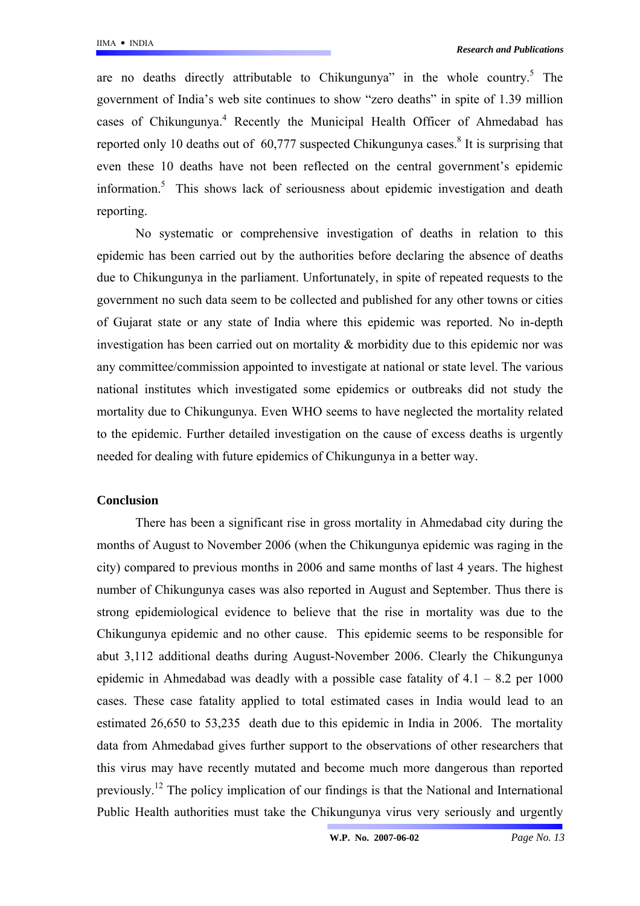are no deaths directly attributable to Chikungunya" in the whole country.<sup>5</sup> The government of India's web site continues to show "zero deaths" in spite of 1.39 million cases of Chikungunya.<sup>4</sup> Recently the Municipal Health Officer of Ahmedabad has reported only 10 deaths out of  $60,777$  suspected Chikungunya cases.<sup>8</sup> It is surprising that even these 10 deaths have not been reflected on the central government's epidemic information.5 This shows lack of seriousness about epidemic investigation and death reporting.

No systematic or comprehensive investigation of deaths in relation to this epidemic has been carried out by the authorities before declaring the absence of deaths due to Chikungunya in the parliament. Unfortunately, in spite of repeated requests to the government no such data seem to be collected and published for any other towns or cities of Gujarat state or any state of India where this epidemic was reported. No in-depth investigation has been carried out on mortality & morbidity due to this epidemic nor was any committee/commission appointed to investigate at national or state level. The various national institutes which investigated some epidemics or outbreaks did not study the mortality due to Chikungunya. Even WHO seems to have neglected the mortality related to the epidemic. Further detailed investigation on the cause of excess deaths is urgently needed for dealing with future epidemics of Chikungunya in a better way.

#### **Conclusion**

There has been a significant rise in gross mortality in Ahmedabad city during the months of August to November 2006 (when the Chikungunya epidemic was raging in the city) compared to previous months in 2006 and same months of last 4 years. The highest number of Chikungunya cases was also reported in August and September. Thus there is strong epidemiological evidence to believe that the rise in mortality was due to the Chikungunya epidemic and no other cause. This epidemic seems to be responsible for abut 3,112 additional deaths during August-November 2006. Clearly the Chikungunya epidemic in Ahmedabad was deadly with a possible case fatality of  $4.1 - 8.2$  per 1000 cases. These case fatality applied to total estimated cases in India would lead to an estimated 26,650 to 53,235 death due to this epidemic in India in 2006. The mortality data from Ahmedabad gives further support to the observations of other researchers that this virus may have recently mutated and become much more dangerous than reported previously.<sup>12</sup> The policy implication of our findings is that the National and International Public Health authorities must take the Chikungunya virus very seriously and urgently

**W.P. No. 2007-06-02** *Page No. 13*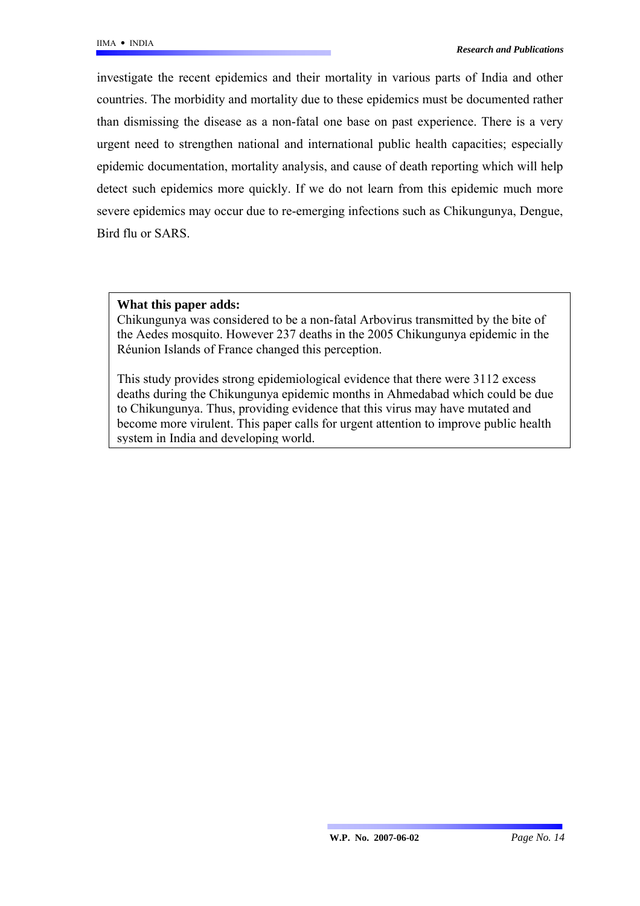investigate the recent epidemics and their mortality in various parts of India and other countries. The morbidity and mortality due to these epidemics must be documented rather than dismissing the disease as a non-fatal one base on past experience. There is a very urgent need to strengthen national and international public health capacities; especially epidemic documentation, mortality analysis, and cause of death reporting which will help detect such epidemics more quickly. If we do not learn from this epidemic much more severe epidemics may occur due to re-emerging infections such as Chikungunya, Dengue, Bird flu or SARS.

### **What this paper adds:**

Chikungunya was considered to be a non-fatal Arbovirus transmitted by the bite of the Aedes mosquito. However 237 deaths in the 2005 Chikungunya epidemic in the Réunion Islands of France changed this perception.

This study provides strong epidemiological evidence that there were 3112 excess deaths during the Chikungunya epidemic months in Ahmedabad which could be due to Chikungunya. Thus, providing evidence that this virus may have mutated and become more virulent. This paper calls for urgent attention to improve public health system in India and developing world.